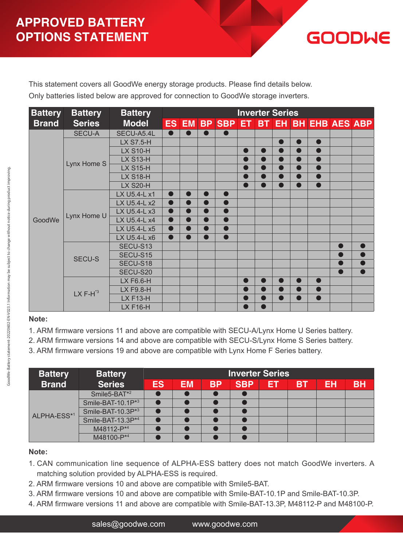

This statement covers all GoodWe energy storage products. Please find details below. Only batteries listed below are approved for connection to GoodWe storage inverters.

| <b>Battery</b> | <b>Battery</b> | <b>Battery</b>   | <b>Inverter Series</b> |           |                          |           |           |                |           |                |           |                                                                                                                                                   |  |
|----------------|----------------|------------------|------------------------|-----------|--------------------------|-----------|-----------|----------------|-----------|----------------|-----------|---------------------------------------------------------------------------------------------------------------------------------------------------|--|
| <b>Brand</b>   | <b>Series</b>  | <b>Model</b>     |                        |           |                          |           |           |                |           |                |           |                                                                                                                                                   |  |
|                | <b>SECU-A</b>  | SECU-A5.4L       | $\bullet$              |           |                          |           |           |                |           |                |           |                                                                                                                                                   |  |
|                |                | <b>LX S7.5-H</b> |                        |           |                          |           |           |                | $\bullet$ | ●              | $\bullet$ | ES EM BP SBP ET BT EH BH EHB AES ABP<br>$\bullet$<br>$\bullet$<br>$\bullet$<br>$\bullet$<br>$\bullet$<br>D<br>$\bullet$<br>$\bullet$<br>$\bullet$ |  |
|                |                | <b>LX S10-H</b>  |                        |           |                          |           | $\bullet$ | $\bullet$      | $\bullet$ | $\bullet$      |           |                                                                                                                                                   |  |
|                | Lynx Home S    | <b>LX S13-H</b>  |                        |           |                          |           |           | $\bullet$      | $\bullet$ | $\blacksquare$ |           |                                                                                                                                                   |  |
|                |                | <b>LX S15-H</b>  |                        |           |                          |           |           | $\bullet$      | $\bullet$ | ●              |           |                                                                                                                                                   |  |
|                |                | <b>LX S18-H</b>  |                        |           |                          |           |           |                | $\bullet$ | ●              |           |                                                                                                                                                   |  |
|                |                | <b>LX S20-H</b>  |                        |           |                          |           |           |                |           |                |           |                                                                                                                                                   |  |
|                |                | LX U5.4-L x1     | $\bullet$              | $\bullet$ | $\overline{\phantom{a}}$ | $\bullet$ |           |                |           |                |           |                                                                                                                                                   |  |
|                |                | LX U5.4-L x2     | $\bullet$              | $\bullet$ | $\overline{\phantom{a}}$ | $\bullet$ |           |                |           |                |           |                                                                                                                                                   |  |
|                |                | LX U5.4-L x3     | $\bullet$              | $\bullet$ | ●                        | $\bullet$ |           |                |           |                |           |                                                                                                                                                   |  |
| GoodWe         | Lynx Home U    | LX U5.4-L x4     | $\bullet$              | $\bullet$ | D                        | $\bullet$ |           |                |           |                |           |                                                                                                                                                   |  |
|                |                | LX U5.4-L x5     | $\bullet$              | $\bullet$ | $\overline{\phantom{a}}$ | $\bullet$ |           |                |           |                |           |                                                                                                                                                   |  |
|                |                | LX U5.4-L x6     | $\bullet$              | 0         | D                        | $\bullet$ |           |                |           |                |           |                                                                                                                                                   |  |
|                |                | SECU-S13         |                        |           |                          |           |           |                |           |                |           |                                                                                                                                                   |  |
|                | <b>SECU-S</b>  | SECU-S15         |                        |           |                          |           |           |                |           |                |           |                                                                                                                                                   |  |
|                |                | SECU-S18         |                        |           |                          |           |           |                |           |                |           |                                                                                                                                                   |  |
|                |                | SECU-S20         |                        |           |                          |           |           |                |           |                |           |                                                                                                                                                   |  |
|                |                | LX F6.6-H        |                        |           |                          |           |           | $\bullet$      | $\bullet$ | $\blacksquare$ |           |                                                                                                                                                   |  |
|                | $LX F-H^*$     | LX F9.8-H        |                        |           |                          |           |           | $\blacksquare$ | $\bullet$ | $\blacksquare$ |           |                                                                                                                                                   |  |
|                |                | <b>LX F13-H</b>  |                        |           |                          |           | $\bullet$ | $\bullet$      | $\bullet$ | D              |           |                                                                                                                                                   |  |
|                |                | <b>LX F16-H</b>  |                        |           |                          |           |           |                |           |                |           |                                                                                                                                                   |  |

#### **Note:**

1. ARM firmware versions 11 and above are compatible with SECU-A/Lynx Home U Series battery.

- 2. ARM firmware versions 14 and above are compatible with SECU-S/Lynx Home S Series battery.
- 3. ARM firmware versions 19 and above are compatible with Lynx Home F Series battery.

| <b>Battery</b> | <b>Battery</b>           |           |           | <b>Inverter Series</b> |            |           |           |    |           |  |
|----------------|--------------------------|-----------|-----------|------------------------|------------|-----------|-----------|----|-----------|--|
| <b>Brand</b>   | <b>Series</b>            | <b>ES</b> | <b>EM</b> | <b>BP</b>              | <b>SBP</b> | <b>ET</b> | <b>BT</b> | EH | <b>BH</b> |  |
|                | Smile5-BAT <sup>*2</sup> |           |           |                        |            |           |           |    |           |  |
|                | Smile-BAT-10.1P*3        |           |           |                        |            |           |           |    |           |  |
| ALPHA-ESS*1    | Smile-BAT-10.3P*3        |           |           |                        |            |           |           |    |           |  |
|                | Smile-BAT-13.3P*4        |           |           |                        |            |           |           |    |           |  |
|                | M48112-P*4               |           |           |                        |            |           |           |    |           |  |
|                | M48100-P*4               |           |           |                        |            |           |           |    |           |  |

- 1. CAN communication line sequence of ALPHA-ESS battery does not match GoodWe inverters. A matching solution provided by ALPHA-ESS is required.
- 2. ARM firmware versions 10 and above are compatible with Smile5-BAT.
- 3. ARM firmware versions 10 and above are compatible with Smile-BAT-10.1P and Smile-BAT-10.3P.
- 4. ARM firmware versions 11 and above are compatible with Smile-BAT-13.3P, M48112-P and M48100-P.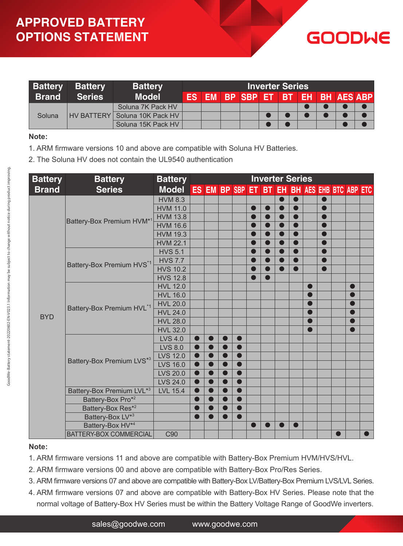| <b>Battery</b> | <b>Battery</b><br><b>Battery</b> |                    |  | <b>Inverter Series</b> |  |                                   |  |  |  |  |  |  |  |
|----------------|----------------------------------|--------------------|--|------------------------|--|-----------------------------------|--|--|--|--|--|--|--|
| <b>Brand</b>   | <b>Series</b>                    | <b>Model</b>       |  | <b>ES EM</b>           |  | <b>BP SBP ET BT EH BH AES ABP</b> |  |  |  |  |  |  |  |
| Soluna         |                                  | Soluna 7K Pack HV  |  |                        |  |                                   |  |  |  |  |  |  |  |
|                | HV BATTERY L                     | Soluna 10K Pack HV |  |                        |  |                                   |  |  |  |  |  |  |  |
|                |                                  | Soluna 15K Pack HV |  |                        |  |                                   |  |  |  |  |  |  |  |

GOODWE

#### **Note:**

- 1. ARM firmware versions 10 and above are compatible with Soluna HV Batteries.
- 2. The Soluna HV does not contain the UL9540 authentication

| <b>Battery</b> | <b>Battery</b>                        | <b>Battery</b>  | <b>Inverter Series</b> |           |                |                 |           |                 |           |           |                                               |           |                          |           |
|----------------|---------------------------------------|-----------------|------------------------|-----------|----------------|-----------------|-----------|-----------------|-----------|-----------|-----------------------------------------------|-----------|--------------------------|-----------|
| <b>Brand</b>   | <b>Series</b>                         | <b>Model</b>    |                        |           |                | ES EM BP SBP ET |           | BT <sub>1</sub> |           |           |                                               |           |                          |           |
|                |                                       | <b>HVM 8.3</b>  |                        |           |                |                 |           |                 | $\bullet$ | $\bullet$ |                                               | $\bullet$ |                          |           |
|                |                                       | <b>HVM 11.0</b> |                        |           |                |                 |           |                 | $\bullet$ | $\bullet$ |                                               |           |                          |           |
|                |                                       | <b>HVM 13.8</b> |                        |           |                |                 | $\bullet$ |                 | $\bullet$ | $\bullet$ |                                               | $\bullet$ |                          |           |
|                | Battery-Box Premium HVM*1             | <b>HVM 16.6</b> |                        |           |                |                 |           |                 | $\bullet$ | $\bullet$ |                                               |           |                          |           |
|                |                                       | <b>HVM 19.3</b> |                        |           |                |                 |           |                 | $\bullet$ | $\bullet$ |                                               |           |                          |           |
|                |                                       | <b>HVM 22.1</b> |                        |           |                |                 |           |                 | $\bullet$ | $\bullet$ |                                               |           |                          |           |
|                |                                       | <b>HVS 5.1</b>  |                        |           |                |                 |           |                 | $\bullet$ | $\bullet$ |                                               |           |                          |           |
|                |                                       | <b>HVS 7.7</b>  |                        |           |                |                 |           |                 | $\bullet$ | $\bullet$ |                                               |           |                          |           |
|                | Battery-Box Premium HVS*1             | <b>HVS 10.2</b> |                        |           |                |                 |           |                 | $\bullet$ | $\bullet$ |                                               |           |                          |           |
|                |                                       | <b>HVS 12.8</b> |                        |           |                |                 | $\bullet$ |                 |           |           |                                               |           |                          |           |
|                |                                       | <b>HVL 12.0</b> |                        |           |                |                 |           |                 |           |           |                                               |           |                          |           |
|                |                                       | <b>HVL 16.0</b> |                        |           |                |                 |           |                 |           |           | Г                                             |           |                          |           |
|                |                                       | <b>HVL 20.0</b> |                        |           |                |                 |           |                 |           |           |                                               |           |                          |           |
| <b>BYD</b>     | Battery-Box Premium HVL*1             | <b>HVL 24.0</b> |                        |           |                |                 |           |                 |           |           |                                               |           | $\overline{\phantom{a}}$ |           |
|                |                                       | <b>HVL 28.0</b> |                        |           |                |                 |           |                 |           |           | $\blacksquare$                                | D<br>D    |                          |           |
|                |                                       | <b>HVL 32.0</b> |                        |           |                |                 |           |                 |           |           | $\blacksquare$                                |           |                          |           |
|                |                                       | <b>LVS 4.0</b>  | $\bullet$              |           | $\blacksquare$ |                 |           |                 |           |           |                                               |           |                          |           |
|                |                                       | <b>LVS 8.0</b>  | $\bullet$              |           | $\blacksquare$ |                 |           |                 |           |           | <b>EH BH AES EHB BTC ABP ETC</b><br>$\bullet$ |           |                          |           |
|                |                                       | <b>LVS 12.0</b> | $\bullet$              | ●         | $\bullet$      |                 |           |                 | $\bullet$ |           |                                               |           |                          |           |
|                | Battery-Box Premium LVS <sup>*3</sup> | <b>LVS 16.0</b> | $\bullet$              | $\bullet$ | $\bullet$      |                 |           |                 |           |           |                                               |           |                          |           |
|                |                                       | <b>LVS 20.0</b> | $\bullet$              | $\bullet$ | $\bullet$      |                 |           |                 |           |           |                                               |           |                          |           |
|                |                                       | <b>LVS 24.0</b> | $\bullet$              | $\bullet$ | $\bullet$      |                 |           |                 |           |           |                                               |           |                          |           |
|                | Battery-Box Premium LVL*3             | <b>LVL 15.4</b> |                        |           | $\bullet$      |                 |           |                 |           |           |                                               |           |                          |           |
|                | Battery-Box Pro*2                     |                 |                        |           | ●              |                 |           |                 |           |           |                                               |           |                          |           |
|                | Battery-Box Res* <sup>2</sup>         |                 |                        |           |                |                 |           |                 |           |           |                                               |           |                          |           |
|                | Battery-Box LV <sup>*3</sup>          |                 |                        |           | ●              |                 |           |                 |           |           |                                               |           |                          |           |
|                | Battery-Box HV <sup>*4</sup>          |                 |                        |           |                |                 |           |                 |           |           |                                               |           |                          |           |
|                | BATTERY-BOX COMMERCIAL                | C90             |                        |           |                |                 |           |                 |           |           |                                               |           |                          | $\bullet$ |

- 1. ARM firmware versions 11 and above are compatible with Battery-Box Premium HVM/HVS/HVL.
- 2. ARM firmware versions 00 and above are compatible with Battery-Box Pro/Res Series.
- 3. ARM firmware versions 07 and above are compatible with Battery-Box LV/Battery-Box Premium LVS/LVL Series.
- 4. ARM firmware versions 07 and above are compatible with Battery-Box HV Series. Please note that the normal voltage of Battery-Box HV Series must be within the Battery Voltage Range of GoodWe inverters.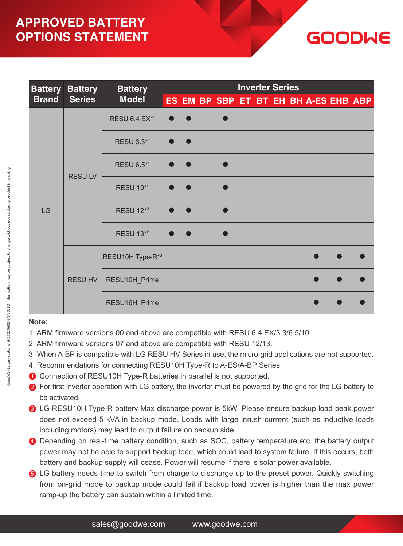## **APPROVED BATTERY OPTIONS STATEMENT**

| <b>Battery Battery</b><br><b>Battery</b> |               |                                  |           |                |  | <b>Inverter Series</b> |  |  |  |  |                                       |  |  |  |  |
|------------------------------------------|---------------|----------------------------------|-----------|----------------|--|------------------------|--|--|--|--|---------------------------------------|--|--|--|--|
| <b>Brand</b>                             | <b>Series</b> | <b>Model</b>                     |           |                |  |                        |  |  |  |  | ES EM BP SBP ET BT EH BH A-ES EHB ABP |  |  |  |  |
|                                          |               | <b>RESU 6.4 EX*1</b>             | $\bullet$ |                |  |                        |  |  |  |  |                                       |  |  |  |  |
|                                          |               | RESU 3.3*1                       | $\bullet$ | $\blacksquare$ |  |                        |  |  |  |  |                                       |  |  |  |  |
|                                          | <b>RESULV</b> | RESU 6.5*1                       | $\bullet$ |                |  |                        |  |  |  |  |                                       |  |  |  |  |
|                                          |               | <b>RESU 10*1</b>                 | $\bullet$ |                |  |                        |  |  |  |  |                                       |  |  |  |  |
| LG                                       |               | <b>RESU 12*2</b>                 | $\bullet$ |                |  |                        |  |  |  |  |                                       |  |  |  |  |
|                                          |               | <b>RESU 13*2</b>                 | $\bullet$ |                |  |                        |  |  |  |  |                                       |  |  |  |  |
|                                          |               | $ $ RESU10H Type-R <sup>*3</sup> |           |                |  |                        |  |  |  |  |                                       |  |  |  |  |
|                                          | RESU HV       | RESU10H_Prime                    |           |                |  |                        |  |  |  |  |                                       |  |  |  |  |
|                                          |               | RESU16H_Prime                    |           |                |  |                        |  |  |  |  |                                       |  |  |  |  |

GOODWE

- 1. ARM firmware versions 00 and above are compatible with RESU 6.4 EX/3.3/6.5/10.
- 2. ARM firmware versions 07 and above are compatible with RESU 12/13.
- 3. When A-BP is compatible with LG RESU HV Series in use, the micro-grid applications are not supported.
- 4. Recommendations for connecting RESU10H Type-R to A-ES/A-BP Series:
- **O** Connection of RESU10H Type-R batteries in parallel is not supported.
- **2** For first inverter operation with LG battery, the inverter must be powered by the grid for the LG battery to be activated.
- **3** LG RESU10H Type-R battery Max discharge power is 5kW. Please ensure backup load peak power does not exceed 5 kVA in backup mode. Loads with large inrush current (such as inductive loads including motors) may lead to output failure on backup side.
- **4** Depending on real-time battery condition, such as SOC, battery temperature etc, the battery output power may not be able to support backup load, which could lead to system failure. If this occurs, both battery and backup supply will cease. Power will resume if there is solar power available.
- **6** LG battery needs time to switch from charge to discharge up to the preset power. Quickly switching from on-grid mode to backup mode could fail if backup load power is higher than the max power ramp-up the battery can sustain within a limited time.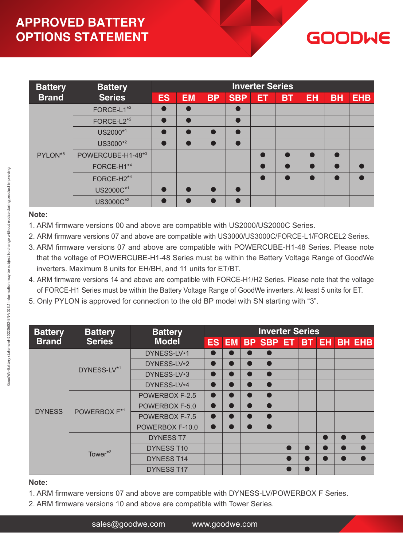## **APPROVED BATTERY OPTIONS STATEMENT**

# GOODWE

| <b>Battery</b>      | <b>Battery</b>         | <b>Inverter Series</b> |           |           |            |    |           |           |           |            |  |  |  |
|---------------------|------------------------|------------------------|-----------|-----------|------------|----|-----------|-----------|-----------|------------|--|--|--|
| <b>Brand</b>        | <b>Series</b>          |                        | <b>EM</b> | <b>BP</b> | <b>SBP</b> | ET | <b>BT</b> | <b>EH</b> | <b>BH</b> | <b>EHB</b> |  |  |  |
|                     | FORCE-L1 <sup>*2</sup> |                        |           |           |            |    |           |           |           |            |  |  |  |
|                     | FORCE-L2 <sup>*2</sup> |                        |           |           |            |    |           |           |           |            |  |  |  |
|                     | US2000*1               |                        |           |           | Г          |    |           |           |           |            |  |  |  |
|                     | US3000*2               |                        |           |           |            |    |           |           |           |            |  |  |  |
| PYLON <sup>*5</sup> | POWERCUBE-H1-48*3      |                        |           |           |            |    |           |           |           |            |  |  |  |
|                     | FORCE-H1 <sup>*4</sup> |                        |           |           |            |    |           |           |           |            |  |  |  |
|                     | FORCE-H2 <sup>*4</sup> |                        |           |           |            |    |           |           |           |            |  |  |  |
|                     | US2000C*1              |                        |           |           | r          |    |           |           |           |            |  |  |  |
|                     | US3000C*2              |                        |           |           |            |    |           |           |           |            |  |  |  |

#### **Note:**

- 1. ARM firmware versions 00 and above are compatible with US2000/US2000C Series.
- 2. ARM firmware versions 07 and above are compatible with US3000/US3000C/FORCE-L1/FORCEL2 Series.
- 3. ARM firmware versions 07 and above are compatible with POWERCUBE-H1-48 Series. Please note that the voltage of POWERCUBE-H1-48 Series must be within the Battery Voltage Range of GoodWe inverters. Maximum 8 units for EH/BH, and 11 units for ET/BT.
- 4. ARM firmware versions 14 and above are compatible with FORCE-H1/H2 Series. Please note that the voltage of FORCE-H1 Series must be within the Battery Voltage Range of GoodWe inverters. At least 5 units for ET.
- 5. Only PYLON is approved for connection to the old BP model with SN starting with "3".

| <b>Battery</b> | <b>Battery</b>           | <b>Battery</b>    |                                     |                 |                | <b>Inverter Series</b> |                                |           |  |  |
|----------------|--------------------------|-------------------|-------------------------------------|-----------------|----------------|------------------------|--------------------------------|-----------|--|--|
| <b>Brand</b>   | <b>Series</b>            | <b>Model</b>      |                                     | ES <sup>I</sup> |                |                        |                                |           |  |  |
|                |                          | DYNESS-LV*1       | $\bullet$                           | $\bullet$       | $\blacksquare$ | $\bullet$              |                                |           |  |  |
|                |                          | DYNESS-LV*2       | $\bullet$                           | $\bullet$       | $\bullet$      | $\bullet$              |                                |           |  |  |
|                | DYNESS-LV*1              | DYNESS-LV*3       | $\bullet$                           | $\bullet$       | $\bullet$      | $\bullet$              |                                |           |  |  |
|                |                          | DYNESS-LV*4       | $\bullet$                           | $\bullet$       | $\bullet$      | $\bullet$              |                                |           |  |  |
|                |                          | POWERBOX F-2.5    | $\bullet$                           | $\bullet$       | $\bullet$      | $\bullet$              |                                |           |  |  |
| <b>DYNESS</b>  |                          | POWERBOX F-5.0    | $\bullet$                           | $\bullet$       | $\bullet$      | $\bullet$              |                                | $\bullet$ |  |  |
|                | POWERBOX F <sup>*1</sup> | POWERBOX F-7.5    | $\bullet$<br>$\bullet$<br>$\bullet$ | $\bullet$       |                |                        |                                |           |  |  |
|                |                          | POWERBOX F-10.0   | $\bullet$                           | $\bullet$       |                |                        |                                |           |  |  |
|                |                          | <b>DYNESS T7</b>  |                                     |                 |                |                        |                                |           |  |  |
|                |                          | <b>DYNESS T10</b> |                                     |                 |                |                        | EM BP SBP ET BT EH BH EHB<br>D |           |  |  |
|                | Tower $*^2$              | <b>DYNESS T14</b> |                                     |                 |                |                        |                                |           |  |  |
|                |                          | <b>DYNESS T17</b> |                                     |                 |                |                        |                                |           |  |  |

- 1. ARM firmware versions 07 and above are compatible with DYNESS-LV/POWERBOX F Series.
- 2. ARM firmware versions 10 and above are compatible with Tower Series.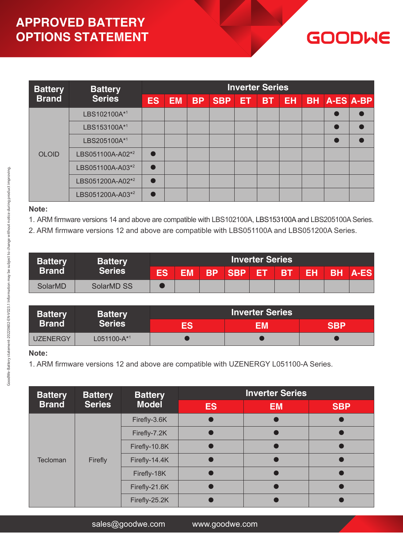## **APPROVED BATTERY OPTIONS STATEMENT**

#### **Battery Brand Battery Series Inverter Series ES EM BP SBP ET BT EH BH A-ES A-BP** OLOID LBS102100A\*1 **extending the particle of the particle of the particle of the particle of the particle of the particle of the particle of the particle of the particle of the particle of the particle of the particle of the pa** LBS153100A\*1 **● ●** LBS205100A\*1 **● ●** LBS051100A-A02<sup>\*2</sup> **●** LBS051100A-A03<sup>\*2</sup> **●** LBS051200A-A02<sup>\*2</sup> **●** LBS051200A-A03<sup>\*2</sup> **●**

**GOODWE** 

#### **Note:**

1. ARM firmware versions 14 and above are compatible with LBS102100A, LBS153100A and LBS205100A Series.

2. ARM firmware versions 12 and above are compatible with LBS051100A and LBS051200A Series.

| <b>Battery</b> | <b>Battery</b>  |           |           |           |             |     |           |    |  |                |
|----------------|-----------------|-----------|-----------|-----------|-------------|-----|-----------|----|--|----------------|
| <b>Brand</b>   | <b>Series '</b> | <b>ES</b> | <b>EM</b> | <b>BP</b> | <b>ISBP</b> | TER | <b>BT</b> | EH |  | <b>BH A-ES</b> |
| SolarMD        | SolarMD SS      |           |           |           |             |     |           |    |  |                |

| <b>Battery</b>  | <b>Battery</b>   | <b>Inverter Series</b> |    |     |  |  |  |  |  |
|-----------------|------------------|------------------------|----|-----|--|--|--|--|--|
| <b>Brand</b>    | <b>Series</b>    | ES                     | FM | SRP |  |  |  |  |  |
| <b>UZENERGY</b> | $L051100-A^{*1}$ |                        |    |     |  |  |  |  |  |

#### **Note:**

1. ARM firmware versions 12 and above are compatible with UZENERGY L051100-A Series.

| <b>Battery</b> | <b>Battery</b> | <b>Battery</b> | <b>Inverter Series</b> |           |            |  |  |  |  |  |  |
|----------------|----------------|----------------|------------------------|-----------|------------|--|--|--|--|--|--|
| <b>Brand</b>   | <b>Series</b>  | <b>Model</b>   | <b>ES</b>              | <b>EM</b> | <b>SBP</b> |  |  |  |  |  |  |
|                | Firefly        | Firefly-3.6K   |                        |           |            |  |  |  |  |  |  |
|                |                | Firefly-7.2K   |                        |           |            |  |  |  |  |  |  |
|                |                | Firefly-10.8K  |                        |           |            |  |  |  |  |  |  |
| Tecloman       |                | Firefly-14.4K  |                        |           |            |  |  |  |  |  |  |
|                |                | Firefly-18K    |                        |           |            |  |  |  |  |  |  |
|                |                | Firefly-21.6K  |                        |           |            |  |  |  |  |  |  |
|                |                | Firefly-25.2K  |                        |           |            |  |  |  |  |  |  |